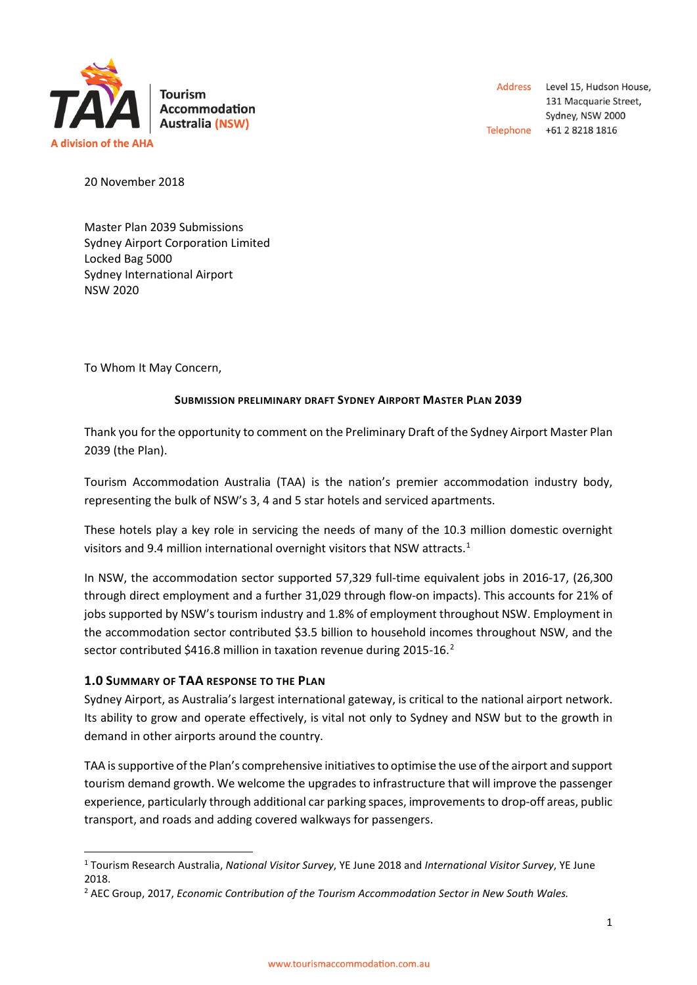

Address Level 15, Hudson House, 131 Macquarie Street, Sydney, NSW 2000 Telephone +61 2 8218 1816

20 November 2018

Master Plan 2039 Submissions Sydney Airport Corporation Limited Locked Bag 5000 Sydney International Airport NSW 2020

To Whom It May Concern,

## **SUBMISSION PRELIMINARY DRAFT SYDNEY AIRPORT MASTER PLAN 2039**

Thank you for the opportunity to comment on the Preliminary Draft of the Sydney Airport Master Plan 2039 (the Plan).

Tourism Accommodation Australia (TAA) is the nation's premier accommodation industry body, representing the bulk of NSW's 3, 4 and 5 star hotels and serviced apartments.

These hotels play a key role in servicing the needs of many of the 10.3 million domestic overnight visitors and 9.4 million international overnight visitors that NSW attracts.<sup>[1](#page-0-0)</sup>

In NSW, the accommodation sector supported 57,329 full-time equivalent jobs in 2016-17, (26,300 through direct employment and a further 31,029 through flow-on impacts). This accounts for 21% of jobs supported by NSW's tourism industry and 1.8% of employment throughout NSW. Employment in the accommodation sector contributed \$3.5 billion to household incomes throughout NSW, and the sector contributed \$416.8 million in taxation revenue during [2](#page-0-1)015-16.<sup>2</sup>

# **1.0 SUMMARY OF TAA RESPONSE TO THE PLAN**

Sydney Airport, as Australia's largest international gateway, is critical to the national airport network. Its ability to grow and operate effectively, is vital not only to Sydney and NSW but to the growth in demand in other airports around the country.

TAA is supportive of the Plan's comprehensive initiativesto optimise the use of the airport and support tourism demand growth. We welcome the upgrades to infrastructure that will improve the passenger experience, particularly through additional car parking spaces, improvements to drop-off areas, public transport, and roads and adding covered walkways for passengers.

<span id="page-0-0"></span> <sup>1</sup> Tourism Research Australia, *National Visitor Survey*, YE June 2018 and *International Visitor Survey*, YE June 2018.

<span id="page-0-1"></span><sup>2</sup> AEC Group, 2017, *Economic Contribution of the Tourism Accommodation Sector in New South Wales.*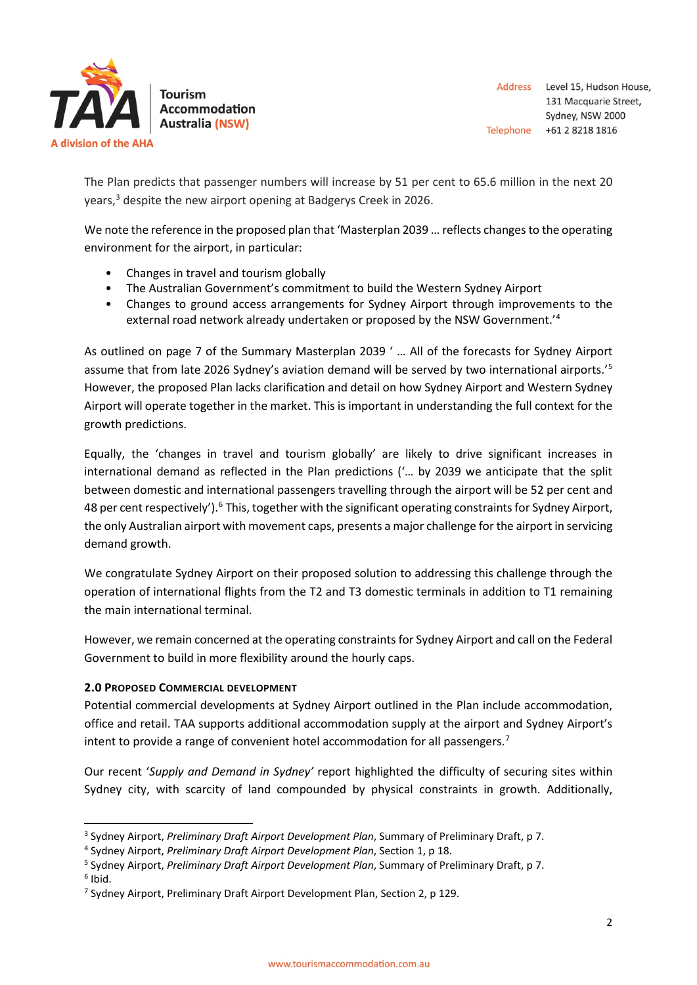

The Plan predicts that passenger numbers will increase by 51 per cent to 65.6 million in the next 20 years,<sup>[3](#page-1-0)</sup> despite the new airport opening at Badgerys Creek in 2026.

We note the reference in the proposed plan that 'Masterplan 2039 ... reflects changes to the operating environment for the airport, in particular:

- Changes in travel and tourism globally
- The Australian Government's commitment to build the Western Sydney Airport
- Changes to ground access arrangements for Sydney Airport through improvements to the external road network already undertaken or proposed by the NSW Government.<sup>1[4](#page-1-1)</sup>

As outlined on page 7 of the Summary Masterplan 2039 ' … All of the forecasts for Sydney Airport assume that from late 2026 Sydney's aviation demand will be served by two international airports.'<sup>[5](#page-1-2)</sup> However, the proposed Plan lacks clarification and detail on how Sydney Airport and Western Sydney Airport will operate together in the market. This is important in understanding the full context for the growth predictions.

Equally, the 'changes in travel and tourism globally' are likely to drive significant increases in international demand as reflected in the Plan predictions ('… by 2039 we anticipate that the split between domestic and international passengers travelling through the airport will be 52 per cent and 48 per cent respectively').<sup>[6](#page-1-3)</sup> This, together with the significant operating constraints for Sydney Airport, the only Australian airport with movement caps, presents a major challenge for the airport in servicing demand growth.

We congratulate Sydney Airport on their proposed solution to addressing this challenge through the operation of international flights from the T2 and T3 domestic terminals in addition to T1 remaining the main international terminal.

However, we remain concerned at the operating constraints for Sydney Airport and call on the Federal Government to build in more flexibility around the hourly caps.

# **2.0 PROPOSED COMMERCIAL DEVELOPMENT**

Potential commercial developments at Sydney Airport outlined in the Plan include accommodation, office and retail. TAA supports additional accommodation supply at the airport and Sydney Airport's intent to provide a range of convenient hotel accommodation for all passengers.<sup>[7](#page-1-4)</sup>

Our recent '*Supply and Demand in Sydney'* report highlighted the difficulty of securing sites within Sydney city, with scarcity of land compounded by physical constraints in growth. Additionally,

<span id="page-1-3"></span> $6$  Ibid.

<span id="page-1-0"></span><sup>3</sup> Sydney Airport, *Preliminary Draft Airport Development Plan*, Summary of Preliminary Draft, p 7. 4 Sydney Airport, *Preliminary Draft Airport Development Plan*, Section 1, p 18.

<span id="page-1-1"></span>

<span id="page-1-2"></span><sup>5</sup> Sydney Airport, *Preliminary Draft Airport Development Plan*, Summary of Preliminary Draft, p 7.

<span id="page-1-4"></span><sup>7</sup> Sydney Airport, Preliminary Draft Airport Development Plan, Section 2, p 129.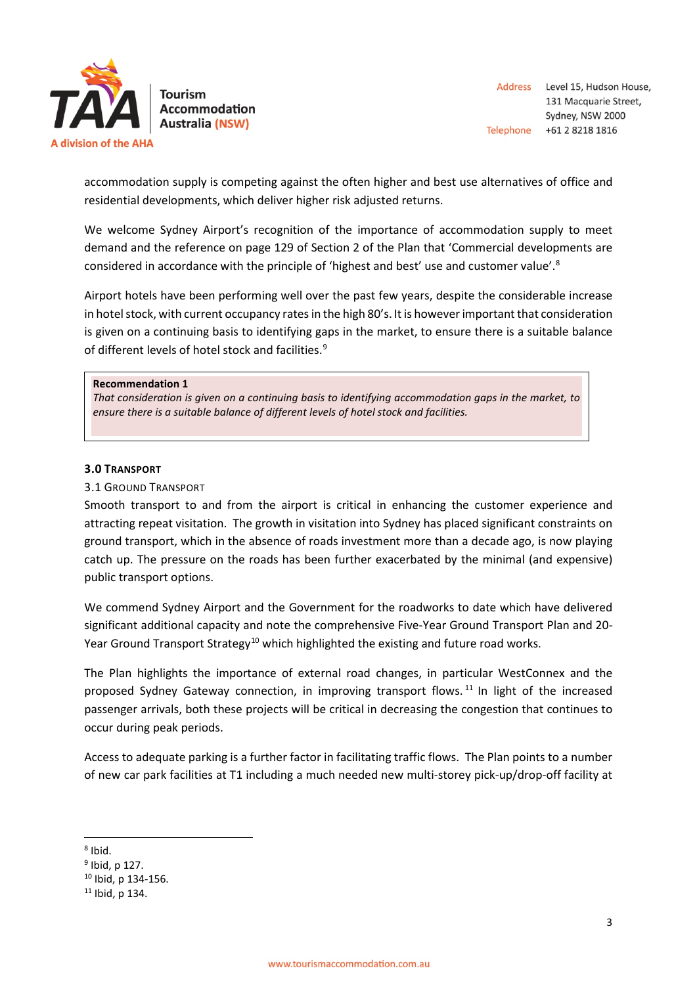

**Accommodation Australia (NSW)** 

accommodation supply is competing against the often higher and best use alternatives of office and residential developments, which deliver higher risk adjusted returns.

We welcome Sydney Airport's recognition of the importance of accommodation supply to meet demand and the reference on page 129 of Section 2 of the Plan that 'Commercial developments are considered in accordance with the principle of 'highest and best' use and customer value'.<sup>[8](#page-2-0)</sup>

Airport hotels have been performing well over the past few years, despite the considerable increase in hotel stock, with current occupancy rates in the high 80's. It is however important that consideration is given on a continuing basis to identifying gaps in the market, to ensure there is a suitable balance of different levels of hotel stock and facilities.<sup>[9](#page-2-1)</sup>

#### **Recommendation 1**

*That consideration is given on a continuing basis to identifying accommodation gaps in the market, to ensure there is a suitable balance of different levels of hotel stock and facilities.*

### **3.0 TRANSPORT**

### 3.1 GROUND TRANSPORT

Smooth transport to and from the airport is critical in enhancing the customer experience and attracting repeat visitation. The growth in visitation into Sydney has placed significant constraints on ground transport, which in the absence of roads investment more than a decade ago, is now playing catch up. The pressure on the roads has been further exacerbated by the minimal (and expensive) public transport options.

We commend Sydney Airport and the Government for the roadworks to date which have delivered significant additional capacity and note the comprehensive Five-Year Ground Transport Plan and 20- Year Ground Transport Strategy<sup>[10](#page-2-2)</sup> which highlighted the existing and future road works.

The Plan highlights the importance of external road changes, in particular WestConnex and the proposed Sydney Gateway connection, in improving transport flows.<sup>[11](#page-2-3)</sup> In light of the increased passenger arrivals, both these projects will be critical in decreasing the congestion that continues to occur during peak periods.

Access to adequate parking is a further factor in facilitating traffic flows. The Plan points to a number of new car park facilities at T1 including a much needed new multi-storey pick-up/drop-off facility at

<span id="page-2-0"></span> $8$  Ibid.

<span id="page-2-1"></span> $9$  Ibid, p 127.

<span id="page-2-2"></span><sup>10</sup> Ibid, p 134-156.

<span id="page-2-3"></span> $11$  Ibid, p 134.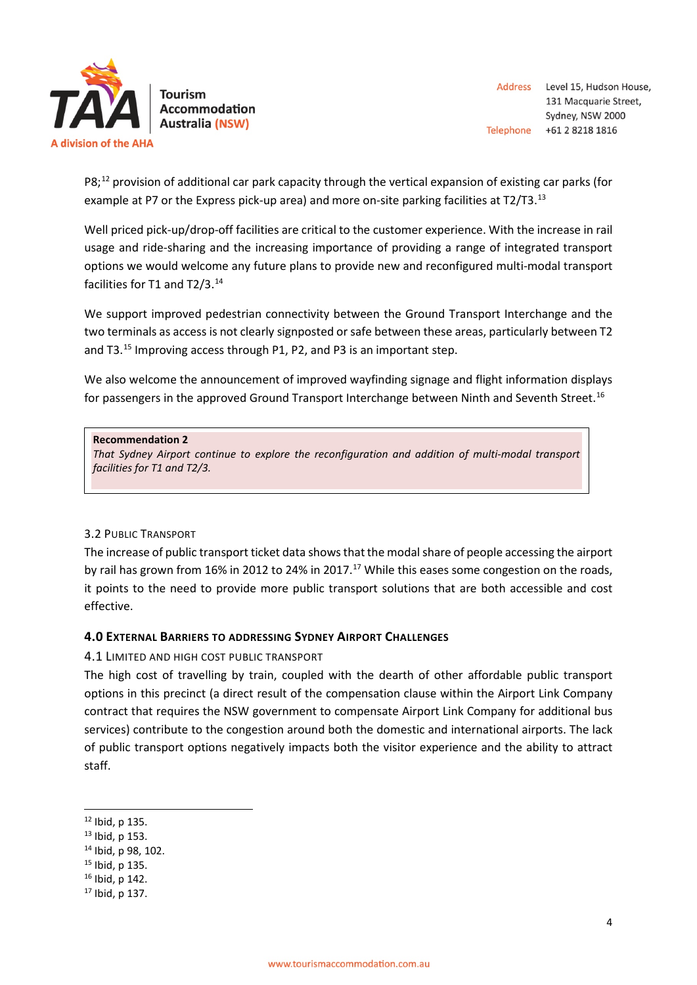

Address Level 15, Hudson House, 131 Macquarie Street, Sydney, NSW 2000 Telephone +61 2 8218 1816

 $PS<sub>i</sub><sup>12</sup>$  $PS<sub>i</sub><sup>12</sup>$  $PS<sub>i</sub><sup>12</sup>$  provision of additional car park capacity through the vertical expansion of existing car parks (for example at P7 or the Express pick-up area) and more on-site parking facilities at T2/T3.<sup>[13](#page-3-1)</sup>

Well priced pick-up/drop-off facilities are critical to the customer experience. With the increase in rail usage and ride-sharing and the increasing importance of providing a range of integrated transport options we would welcome any future plans to provide new and reconfigured multi-modal transport facilities for T1 and T2/3.<sup>[14](#page-3-2)</sup>

We support improved pedestrian connectivity between the Ground Transport Interchange and the two terminals as access is not clearly signposted or safe between these areas, particularly between T2 and T3.<sup>[15](#page-3-3)</sup> Improving access through P1, P2, and P3 is an important step.

We also welcome the announcement of improved wayfinding signage and flight information displays for passengers in the approved Ground Transport Interchange between Ninth and Seventh Street.<sup>[16](#page-3-4)</sup>

#### **Recommendation 2**

*That Sydney Airport continue to explore the reconfiguration and addition of multi-modal transport facilities for T1 and T2/3.*

# 3.2 PUBLIC TRANSPORT

The increase of public transport ticket data shows that the modal share of people accessing the airport by rail has grown from 16% in 2012 to 24% in 20[17](#page-3-5).<sup>17</sup> While this eases some congestion on the roads, it points to the need to provide more public transport solutions that are both accessible and cost effective.

# **4.0 EXTERNAL BARRIERS TO ADDRESSING SYDNEY AIRPORT CHALLENGES**

# 4.1 LIMITED AND HIGH COST PUBLIC TRANSPORT

The high cost of travelling by train, coupled with the dearth of other affordable public transport options in this precinct (a direct result of the compensation clause within the Airport Link Company contract that requires the NSW government to compensate Airport Link Company for additional bus services) contribute to the congestion around both the domestic and international airports. The lack of public transport options negatively impacts both the visitor experience and the ability to attract staff.

- <span id="page-3-3"></span><sup>15</sup> Ibid, p 135.
- <span id="page-3-4"></span><sup>16</sup> Ibid, p 142.

<span id="page-3-0"></span> $12$  Ibid, p 135.

<span id="page-3-1"></span><sup>13</sup> Ibid, p 153.

<span id="page-3-2"></span><sup>14</sup> Ibid, p 98, 102.

<span id="page-3-5"></span><sup>17</sup> Ibid, p 137.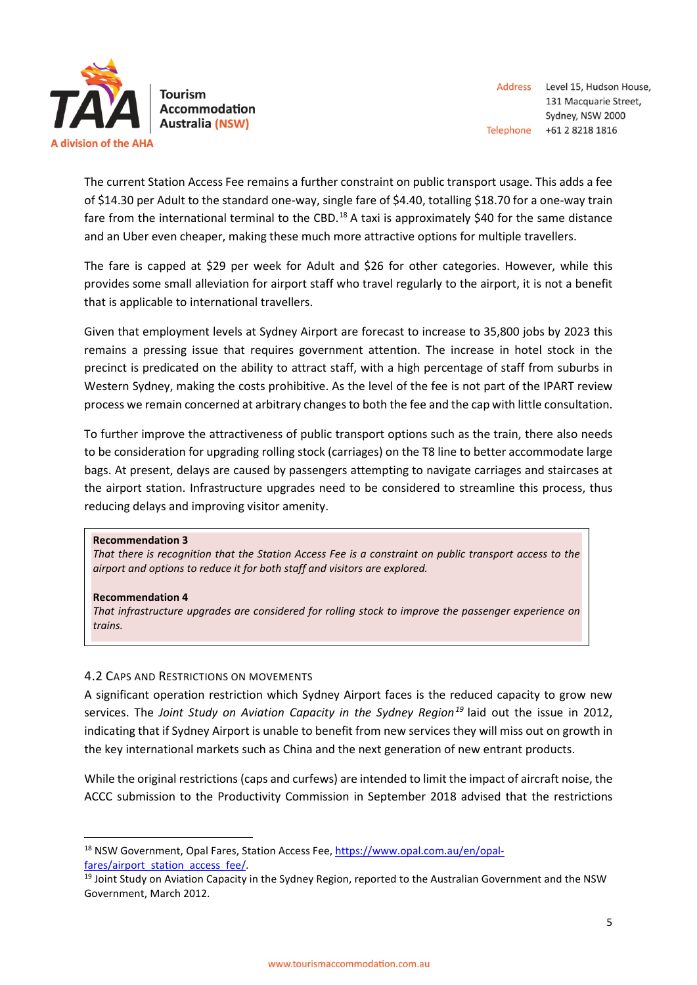

**Tourism Accommodation Australia (NSW)** 

The current Station Access Fee remains a further constraint on public transport usage. This adds a fee of \$14.30 per Adult to the standard one-way, single fare of \$4.40, totalling \$18.70 for a one-way train fare from the international terminal to the CBD.<sup>[18](#page-4-0)</sup> A taxi is approximately \$40 for the same distance and an Uber even cheaper, making these much more attractive options for multiple travellers.

The fare is capped at \$29 per week for Adult and \$26 for other categories. However, while this provides some small alleviation for airport staff who travel regularly to the airport, it is not a benefit that is applicable to international travellers.

Given that employment levels at Sydney Airport are forecast to increase to 35,800 jobs by 2023 this remains a pressing issue that requires government attention. The increase in hotel stock in the precinct is predicated on the ability to attract staff, with a high percentage of staff from suburbs in Western Sydney, making the costs prohibitive. As the level of the fee is not part of the IPART review process we remain concerned at arbitrary changes to both the fee and the cap with little consultation.

To further improve the attractiveness of public transport options such as the train, there also needs to be consideration for upgrading rolling stock (carriages) on the T8 line to better accommodate large bags. At present, delays are caused by passengers attempting to navigate carriages and staircases at the airport station. Infrastructure upgrades need to be considered to streamline this process, thus reducing delays and improving visitor amenity.

#### **Recommendation 3**

*That there is recognition that the Station Access Fee is a constraint on public transport access to the airport and options to reduce it for both staff and visitors are explored.*

#### **Recommendation 4**

*That infrastructure upgrades are considered for rolling stock to improve the passenger experience on trains.*

### 4.2 CAPS AND RESTRICTIONS ON MOVEMENTS

A significant operation restriction which Sydney Airport faces is the reduced capacity to grow new services. The *Joint Study on Aviation Capacity in the Sydney Region[19](#page-4-1)* laid out the issue in 2012, indicating that if Sydney Airport is unable to benefit from new services they will miss out on growth in the key international markets such as China and the next generation of new entrant products.

While the original restrictions (caps and curfews) are intended to limit the impact of aircraft noise, the ACCC submission to the Productivity Commission in September 2018 advised that the restrictions

<span id="page-4-0"></span> <sup>18</sup> NSW Government, Opal Fares, Station Access Fee[, https://www.opal.com.au/en/opal-](https://www.opal.com.au/en/opal-fares/airport_station_access_fee/)

<span id="page-4-1"></span>[fares/airport\\_station\\_access\\_fee/.](https://www.opal.com.au/en/opal-fares/airport_station_access_fee/)<br><sup>19</sup> Joint Study on Aviation Capacity in the Sydney Region, reported to the Australian Government and the NSW Government, March 2012.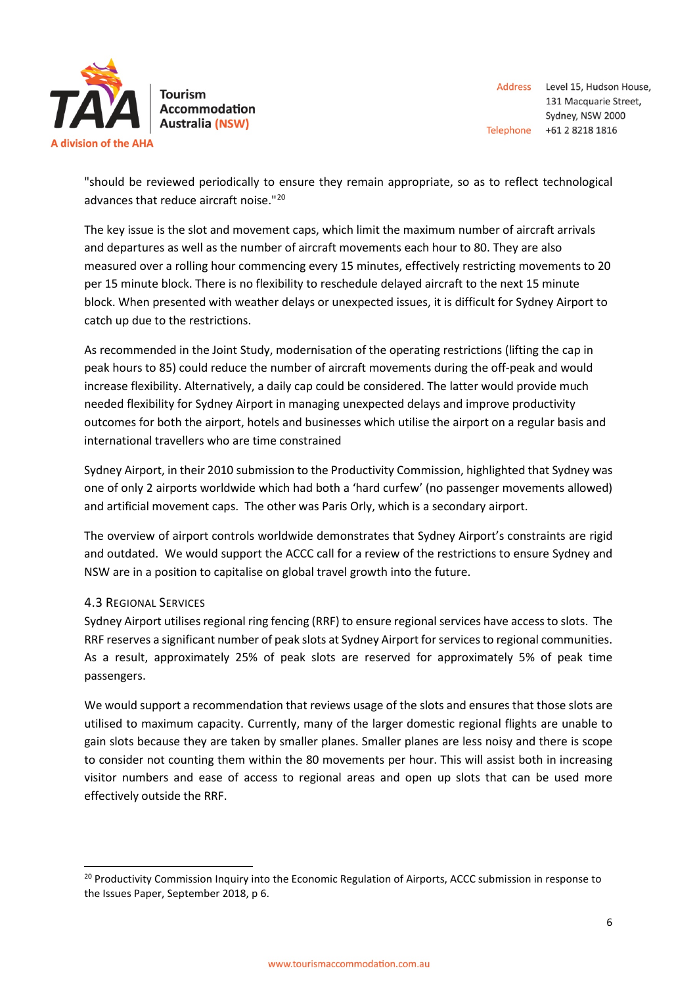

**Tourism Accommodation Australia (NSW)** 

"should be reviewed periodically to ensure they remain appropriate, so as to reflect technological advances that reduce aircraft noise."[20](#page-5-0)

The key issue is the slot and movement caps, which limit the maximum number of aircraft arrivals and departures as well as the number of aircraft movements each hour to 80. They are also measured over a rolling hour commencing every 15 minutes, effectively restricting movements to 20 per 15 minute block. There is no flexibility to reschedule delayed aircraft to the next 15 minute block. When presented with weather delays or unexpected issues, it is difficult for Sydney Airport to catch up due to the restrictions.

As recommended in the Joint Study, modernisation of the operating restrictions (lifting the cap in peak hours to 85) could reduce the number of aircraft movements during the off-peak and would increase flexibility. Alternatively, a daily cap could be considered. The latter would provide much needed flexibility for Sydney Airport in managing unexpected delays and improve productivity outcomes for both the airport, hotels and businesses which utilise the airport on a regular basis and international travellers who are time constrained

Sydney Airport, in their 2010 submission to the Productivity Commission, highlighted that Sydney was one of only 2 airports worldwide which had both a 'hard curfew' (no passenger movements allowed) and artificial movement caps. The other was Paris Orly, which is a secondary airport.

The overview of airport controls worldwide demonstrates that Sydney Airport's constraints are rigid and outdated. We would support the ACCC call for a review of the restrictions to ensure Sydney and NSW are in a position to capitalise on global travel growth into the future.

# 4.3 REGIONAL SERVICES

Sydney Airport utilises regional ring fencing (RRF) to ensure regional services have access to slots. The RRF reserves a significant number of peak slots at Sydney Airport for services to regional communities. As a result, approximately 25% of peak slots are reserved for approximately 5% of peak time passengers.

We would support a recommendation that reviews usage of the slots and ensures that those slots are utilised to maximum capacity. Currently, many of the larger domestic regional flights are unable to gain slots because they are taken by smaller planes. Smaller planes are less noisy and there is scope to consider not counting them within the 80 movements per hour. This will assist both in increasing visitor numbers and ease of access to regional areas and open up slots that can be used more effectively outside the RRF.

<span id="page-5-0"></span><sup>&</sup>lt;sup>20</sup> Productivity Commission Inquiry into the Economic Regulation of Airports, ACCC submission in response to the Issues Paper, September 2018, p 6.